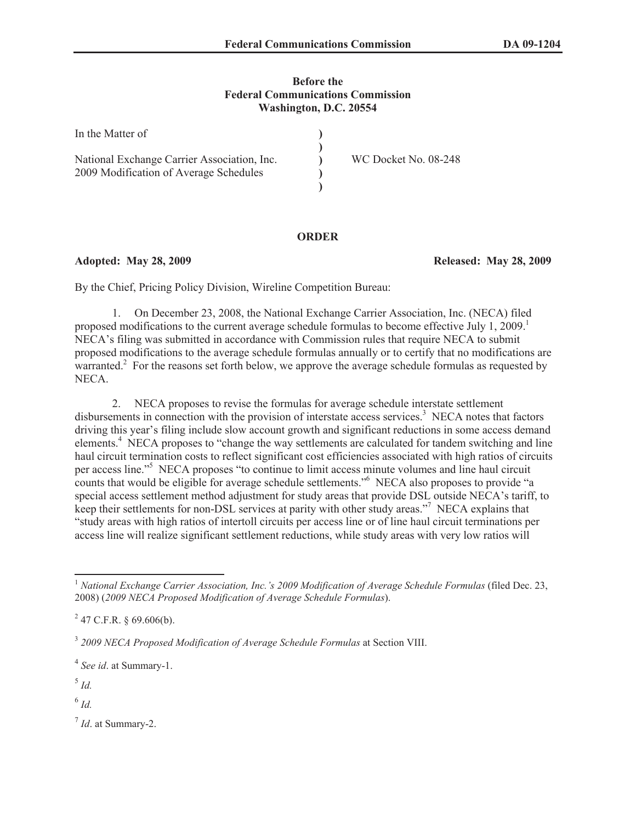### **Before the Federal Communications Commission Washington, D.C. 20554**

| In the Matter of                            |                      |
|---------------------------------------------|----------------------|
| National Exchange Carrier Association, Inc. | WC Docket No. 08-248 |
| 2009 Modification of Average Schedules      |                      |

## **ORDER**

**Adopted: May 28, 2009 Released: May 28, 2009**

By the Chief, Pricing Policy Division, Wireline Competition Bureau:

1. On December 23, 2008, the National Exchange Carrier Association, Inc. (NECA) filed proposed modifications to the current average schedule formulas to become effective July 1, 2009.<sup>1</sup> NECA's filing was submitted in accordance with Commission rules that require NECA to submit proposed modifications to the average schedule formulas annually or to certify that no modifications are warranted.<sup>2</sup> For the reasons set forth below, we approve the average schedule formulas as requested by NECA.

2. NECA proposes to revise the formulas for average schedule interstate settlement disbursements in connection with the provision of interstate access services. <sup>3</sup> NECA notes that factors driving this year's filing include slow account growth and significant reductions in some access demand elements.<sup>4</sup> NECA proposes to "change the way settlements are calculated for tandem switching and line haul circuit termination costs to reflect significant cost efficiencies associated with high ratios of circuits per access line."<sup>5</sup> NECA proposes "to continue to limit access minute volumes and line haul circuit counts that would be eligible for average schedule settlements."<sup>6</sup> NECA also proposes to provide "a special access settlement method adjustment for study areas that provide DSL outside NECA's tariff, to keep their settlements for non-DSL services at parity with other study areas."<sup>7</sup> NECA explains that "study areas with high ratios of intertoll circuits per access line or of line haul circuit terminations per access line will realize significant settlement reductions, while study areas with very low ratios will

6 *Id.*

7 *Id*. at Summary-2.

<sup>1</sup> *National Exchange Carrier Association, Inc.'s 2009 Modification of Average Schedule Formulas* (filed Dec. 23, 2008) (*2009 NECA Proposed Modification of Average Schedule Formulas*).

 $^{2}$  47 C.F.R. § 69.606(b).

<sup>3</sup> *2009 NECA Proposed Modification of Average Schedule Formulas* at Section VIII.

<sup>4</sup> *See id*. at Summary-1.

<sup>5</sup> *Id.*